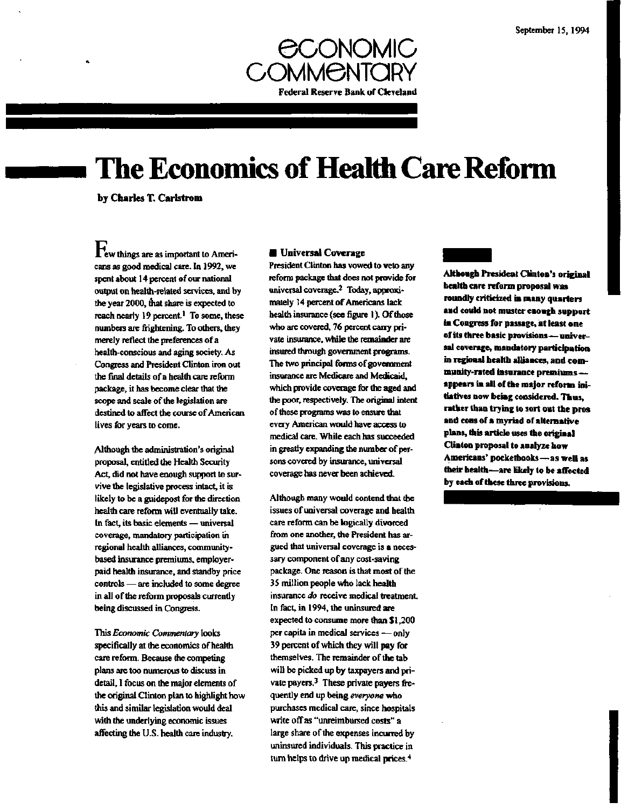

# **The Economics of Health Care Reform**

**by Charles T. Carlstrom**

**l e w things are as important to Americans as good medical care. In 1992, we spent about 14 percent of our national output on health-related services, and by the year 2000, mat share is expected to reach nearly 19 percent.<sup>1</sup> To some, these numbers are frightening. To others, they merely reflect the preferences of a health-conscious and aging society. As Congress and President Clinton iron out the final details of a health care reform package, it has become clear that the scope and scale of the legislation are destined to affect the course of American lives for years to come.**

**Although the administration's original proposal, entitled the Health Security Act, did not have enough support to survive the legislative process intact, it is likely to be a guidepost for the direction health care reform will eventually take. In fact, its basic elements — universal coverage, mandatory participation in regional health alliances, communitybased insurance premiums, employerpaid health insurance, and standby price controls — are included to some degree in all of the reform proposals currently being discussed in Congress.**

**This** *Economic Commentary* **looks specifically at the economics of health care reform. Because the competing plans are too numerous to discuss in detail, I focus on the major elements of the original Clinton plan to highlight how this and similar legislation would deal with the underlying economic issues affecting the U.S. health care industry.**

#### **• Universal Coverage**

**President Clinton has vowed to veto any reform package that does not provide for universal coverage.<sup>2</sup> Today, approximately 14 percent of Americans lack health insurance (see figure 1). Of those who are covered, 76 percent cany private insurance, while the remainder are insured through government programs. The two principal forms of government insurance are Medicare and Medicaid, which provide coverage for the aged and the poor, respectively. The original intent of these programs was to ensure that every American would have access to medical care. While each has succeeded in greatly expanding the number of persons covered by insurance, universal coverage has never been achieved.**

**Although many would contend that the issues of universal coverage and health care reform can be logically divorced from one another, the President has argued that universal coverage is a necessary component of any cost-saving package. One reason is that most of the 35 million people who lack health insurance** *do* **receive medical treatment. In fact, in 1994, the uninsured are expected to consume more than \$ 1,200 per capita in medical services — only 39 percent of which they will pay for themselves. The remainder of the tab will be picked up by taxpayers and private payers.<sup>3</sup> These private payers frequently end up being** *everyone* **who purchases medical care, since hospitals write off as "unreimbursed costs" a large share of the expenses incurred by uninsured individuals. This practice in turn helps to drive up medical prices.<sup>4</sup>**

**Although President Clinton's original health care reform proposal was roundly criticized in many quarters and could not muster enough support in Congress for passage, at least one of its three basic provisions—universal coverage, mandatory participation in regional health alliances, and community-rated insurance premiums appears in all of the major reform initiatives now being considered. Thus, rather than trying to sort out the pros and cons of a myriad of alternative plans, this article uses the original Clinton proposal to analyze how Americans' pocketbooks—as well as their health—are likely to be affected by each of these three provisions.**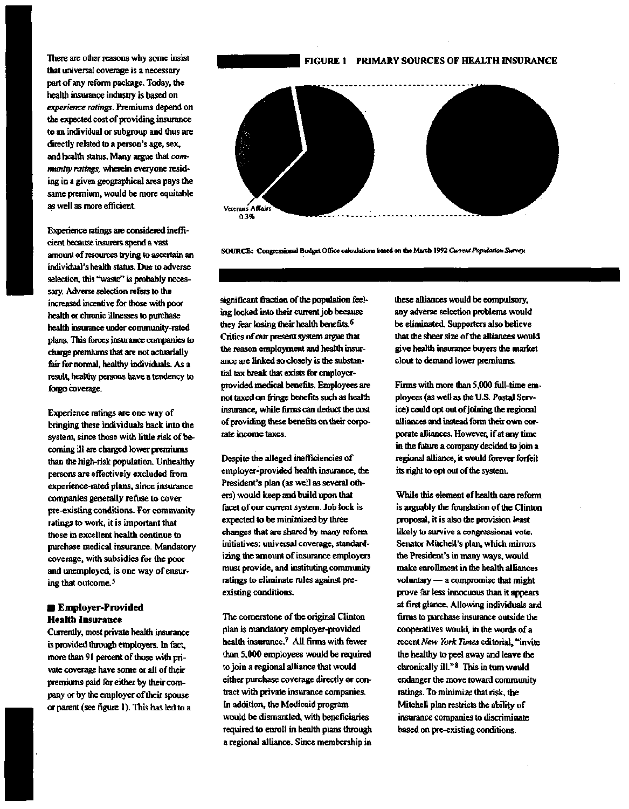There are other reasons why some insist that universal coverage is a necessary part of any reform package. Today, the health insurance industry is based on *experience ratings.* Premiums depend on the expected cost of providing insurance to an individual or subgroup and thus are directly related to a person's age, sex, and health status. Many argue that *community ratings,* wherein everyone residing in a given geographical area pays the same premium, would be more equitable as well as more efficient.

Experience ratings are considered inefficient because insurers spend a vast amount of resources trying to ascertain an individual's health status. Due to adverse selection, this "waste" is probably necessary. Adverse selection refers to the increased incentive for those with poor health or chronic illnesses to purchase health insurance under community-rated plans. This forces insurance companies to charge premiums that are not actuarially fair for normal, healthy individuals. As a result, healthy persons have a tendency to forgo coverage.

Experience ratings are one way of bringing these individuals back into the system, since those with little risk of becoming ill are charged lower premiums than the high-risk population. Unhealthy persons are effectively excluded from experience-rated plans, since insurance companies generally refuse to cover pre-existing conditions. For community ratings to work, it is important that those in excellent health continue to purchase medical insurance. Mandatory coverage, with subsidies for the poor and unemployed, is one way of ensuring that outcome.<sup>5</sup>

## **• Employer-Provided Health Insurance**

Currently, most private health insurance is provided through employers. In fact, more than 91 percent of those with private coverage have some or all of their premiums paid for either by their company or by the employer of their spouse or parent (see figure 1). This has led to a

#### **FIGURE 1 PRIMARY** SOURCES **OF HEALTH INSURANCE**



**SOURCE: Congressional Budget Office calculations based on the March 1992** *Current Population Survey.*

significant fraction of the population feeling locked into their current job because they fear losing their health benefits.<sup>6</sup> Critics of our present system argue that the reason employment and health insurance are linked so closely is the substantial tax break that exists for employerprovided medical benefits. Employees are not taxed on fringe benefits such as health insurance, while firms can deduct the cost of providing these benefits on their corporate income taxes.

Despite the alleged inefficiencies of employer-provided health insurance, the President's plan (as well as several others) would keep and build upon that facet of our current system. Job lock is expected to be minimized by three changes that are shared by many reform initiatives: universal coverage, standardizing the amount of insurance employers must provide, and instituting community ratings to eliminate rules against preexisting conditions.

The cornerstone of the original Clinton plan is mandatory employer-provided health insurance.<sup>7</sup> All firms with fewer than 5,000 employees would be required to join a regional alliance that would either purchase coverage directly or contract with private insurance companies. In addition, the Medicaid program would be dismantled, with beneficiaries required to enroll in health plans through a regional alliance. Since membership in these alliances would be compulsory, any adverse selection problems would be eliminated. Supporters also believe that the sheer size of the alliances would give health insurance buyers the market clout to demand lower premiums.

Firms with more than 5,000 full-time employees (as well as the U.S. Postal Service) could opt out of joining the regional alliances and instead form their own corporate alliances. However, if at any time in the future a company decided to join a regional alliance, it would forever forfeit its right to opt out of the system.

While this element of health care reform is arguably the foundation of the Clinton proposal, it is also the provision least likely to survive a congressional vote. Senator Mitchell's plan, which minors the President's in many ways, would make enrollment in the health alliances voluntary — a compromise that might prove far less innocuous than it appears at first glance. Allowing individuals and firms to purchase insurance outside the cooperatives would, in the words of a recent *New York Times* editorial, "invite the healthy to peel away and leave the chronically ill."<sup>8</sup> This in turn would endanger the move toward community ratings. To minimize that risk, the Mitchell plan restricts the ability of insurance companies to discriminate based on pre-existing conditions.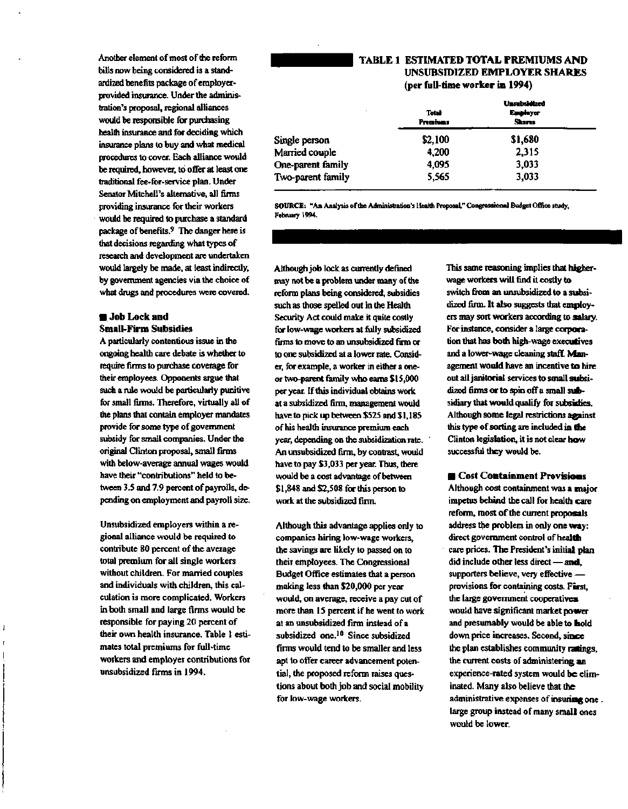**Another element of most of the reform bills now being considered is a standardized benefits package of employerprovided insurance. Under the administration's proposal, regional alliances would be responsible for purchasing health insurance and for deciding which insurance plans to buy and what medical procedures to cover. Each alliance would be required, however, to offer at least one traditional fee-for-service plan. Under Senator Mitchell's alternative, all firms providing insurance for their workers would be required to purchase a standard package of benefits.<sup>9</sup> The danger here is that decisions regarding what types of research and development are undertaken would largely be made, at least indirectly, by government agencies via the choice of what drugs and procedures were covered.**

#### **• Job Lock and Small-Firm Subsidies**

**A particularly contentious issue in the ongoing health care debate is whether to require firms to purchase coverage for their employees. Opponents argue that such a rule would be particularly punitive for small firms. Therefore, virtually all of the plans that contain employer mandates provide for some type of government subsidy for small companies. Under the original Clinton proposal, small firms with below-average annual wages would have their "contributions" held to between 3.5 and 7.9 percent of payrolls, depending on employment and payroll size.**

**Unsubsidized employers within a regional alliance would be required to contribute 80 percent of the average total premium for all single workers without children. For married couples and individuals with children, this calculation is more complicated. Workers in both small and large firms would be responsible for paying 20 percent of their own health insurance. Table 1 estimates total premiums for full-time workers and employer contributions for unsubsidized firms in 1994.**

## **TABLE 1 ESTIMATED TOTAL PREMIUMS AND UNSUBSIDIZED EMPLOYER SHARES (per full-time worker in 1994)**

|                   | wasan katabasa                  |                           |  |
|-------------------|---------------------------------|---------------------------|--|
|                   | <b>Total</b><br><b>Premises</b> | Employer<br><b>Shares</b> |  |
| Single person     | \$2,100                         | \$1,680                   |  |
| Married couple    | 4,200                           | 2.315                     |  |
| One-parent family | 4,095                           | 3,033                     |  |
| Two-parent family | 5,565                           | 3,033                     |  |
|                   |                                 |                           |  |

**SOURCE:** "An Analysis of the Administration's Health Proposal,'' Congressional Budget Office study, February 1994.

**Although job lock as currently defined may not be a problem under many of the reform plans being considered, subsidies such as those spelled out in the Health Security Act could make it quite costly for low-wage workers at fully subsidized firms to move to an unsubsidized firm or to one subsidized at a lower rate. Consider, for example, a worker in either a oneor two-parent family who earns \$15,000 per year. If this individual obtains work at a subsidized firm, management would have to pick up between \$525 and \$1,185 of his health insurance premium each year, depending on the subsidization rate. An unsubsidized firm, by contrast, would have to pay \$3,033 per year. Thus, there would be a cost advantage of between \$1,848 and \$2,508 for this person to work at the subsidized firm.**

**Although this advantage applies only to companies hiring low-wage workers, the savings are likely to passed on to their employees. The Congressional Budget Office estimates that a person making less than \$20,000 per year would, on average, receive a pay cut of more than 15 percent if he went to work at an unsubsidized firm instead of a subsidized one.<sup>10</sup> Since subsidized firms would tend to be smaller and less apt to offer career advancement potential, the proposed reform raises questions about both job and social mobility for low-wage workers.**

**This same reasoning implies that higherwage workers will find it costly to switch from an unsubsidized to a subsidized firm. It also suggests that employers may sort workers according to salary. For instance, consider a large corporation that has both high-wage executives and a lower-wage cleaning staff. Management would have an incentive to hire out all janitorial services to small subsidized firms or to spin off a small subsidiary that would qualify for subsidies. Although some legal restrictions against this type of sorting are included in the Clinton legislation, it is not clear how successful they would be.**

**Unsubsidized**

**• Cost Containment Provisions Although cost containment was a major impetus behind the call for health care reform, most of the current proposals address the problem in only one way: direct government control of health care prices. The President's initial plan** did include other less direct - and, **supporters believe, very effective provisions for containing costs. First, the large government cooperatives would have significant market power and presumably would be able to hold down price increases. Second, since the plan establishes community ratings, the current costs of administering an experience-rated system would be eliminated. Many also believe that the administrative expenses of insuring one . large group instead of many small ones would be lower.**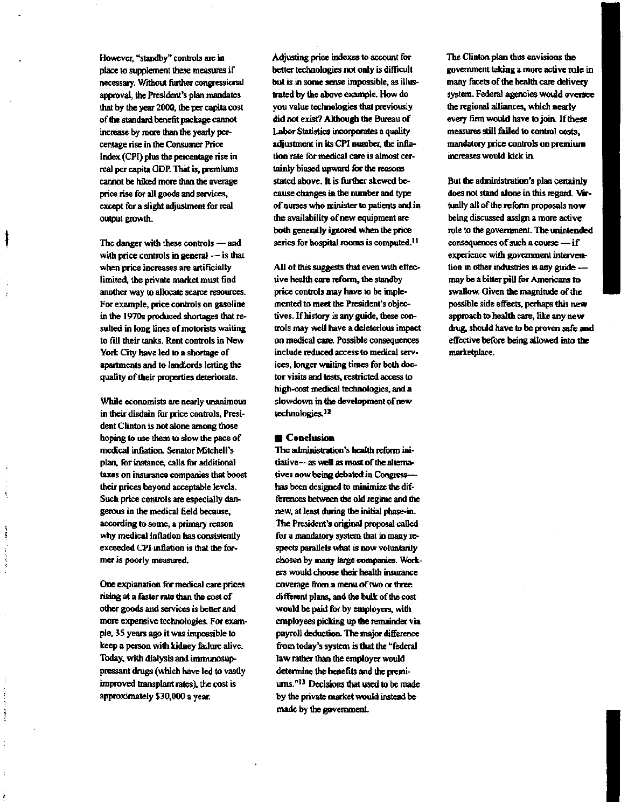**However, "standby" controls are in place to supplement these measures if necessary. Without further congressional approval, the President's plan mandates that by the year 2000, the per capita cost of the standard benefit package cannot increase by more than the yearly percentage rise in the Consumer Price Index (CPI) plus the percentage rise in real per capita GDP. That is, premiums cannot be hiked more than the average price rise for all goods and services, except for a slight adjustment for real output growth.**

**The danger with these controls — and with price controls in general — is that when price increases are artificially limited, the private market must find another way to allocate scarce resources. For example, price controls on gasoline in the 1970s produced shortages that resulted in long lines of motorists waiting to fill their tanks. Rent controls in New York City have led to a shortage of apartments and to landlords letting the quality of their properties deteriorate.**

**While economists are nearly unanimous in their disdain for price controls, President Clinton is not alone among those hoping to use them to slow the pace of medical inflation. Senator Mitchell's plan, for instance, calls for additional taxes on insurance companies that boost their prices beyond acceptable levels. Such price controls are especially dangerous in the medical field because, according to some, a primary reason why medical inflation has consistently exceeded CPI inflation is that the former is poorly measured.**

the second control of

in Bello: In

ŧ

**One explanation for medical care prices rising at a faster rate than the cost of other goods and services is better and more expensive technologies. For example, 35 years ago it was impossible to keep a person with kidney failure alive. Today, with dialysis and immunosuppressant drugs (which have led to vastly improved transplant rates), the cost is approximately \$30,000 a year.**

**Adjusting price indexes to account for better technologies not only is difficult but is in some sense impossible, as illustrated by the above example. How do you value technologies that previously did not exist? Although the Bureau of Labor Statistics incorporates a quality adjustment in its CPI number, the inflation rate for medical care is almost certainly biased upward for the reasons stated above. It is further skewed because changes in the number and type of nurses who minister to patients and in the availability of new equipment are both generally ignored when the price series for hospital rooms is computed.<sup>1</sup> '**

**All of this suggests that even with effective health care reform, the standby price controls may have to be implemented to meet the President's objectives. If history is any guide, these controls may well have a deleterious impact on medical care. Possible consequences include reduced access to medical services, longer waiting times for both doctor visits and tests, restricted access to high-cost medical technologies, and a slowdown in die development of new technologies.<sup>12</sup>**

#### **• Conclusion**

**The administration's health reform initiative—as well as most of the alternatives now being debated in Congress has been designed to minimize the differences between the old regime and the new, at least during the initial phase-in. The President's original proposal called for a mandatory system that in many respects parallels what is now voluntarily chosen by many large companies. Workers would choose their health insurance coverage from a menu of two or three different plans, and the bulk of the cost would be paid for by employers, with employees picking up the remainder via payroll deduction. The major difference** from today's system is that the "federal **law rather than the employer would determine the benefits and the premiums."<sup>13</sup> Decisions that used to be made by the private market would instead be made by the government.**

**The Clinton plan thus envisions the government taking a more active role in many facets of the health care delivery system. Federal agencies would oversee the regional alliances, which nearly every firm would have to join. If these measures still failed to control costs, mandatory price controls on premium increases would kick in.**

**But the administration's plan certainly does not stand alone in this regard. Virtually all of the reform proposals now being discussed assign a more active role to the government. The unintended consequences of such a course — if experience with government intervention in other industries is any guide may be a bitter pill for Americans to swallow. Given the magnitude of the possible side effects, perhaps this new approach to health care, like any new drug, should have to be proven safe and effective before being allowed into the marketplace.**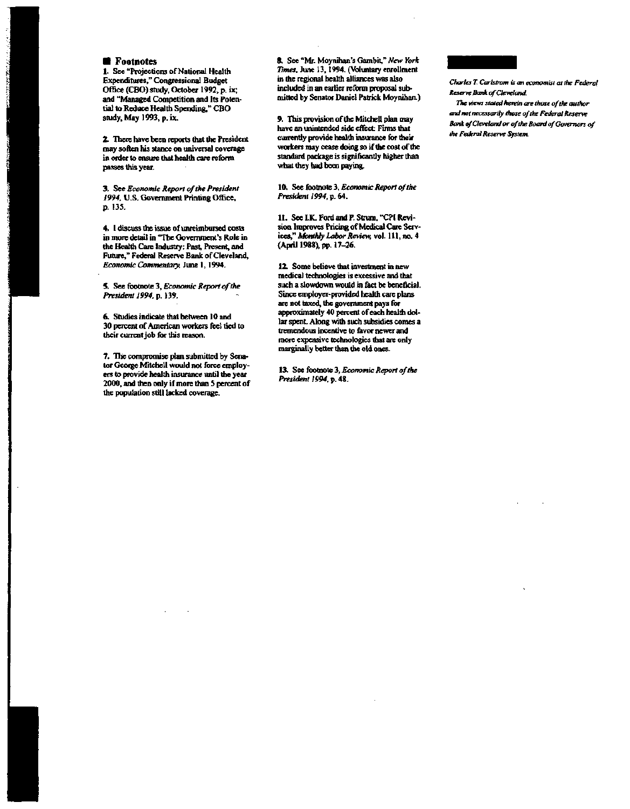**• Footnotes**<br>1. See "Projections of National Health **1. See "Projections of National Health Expenditures," Congressional Budget Office (CBO) study, October 1992, p. ix; and "Managed Competition and Its Potential to Reduce Health Spending," CBO study, May 1993, p. ix.**

**2. There have been reports that the President may soften his stance on universal coverage in order to ensure that health care reform passes this year.**

**3. See** *Economic Report of the President 1994,* **U.S. Government Printing Office, p. 135.**

**4. I discuss the issue of unreimbursed costs in more detail in "The Government's Role in the Health Care Industry: Past, Present, and Future," Federal Reserve Bank of Cleveland,** *Economic Commentary,* **June 1,1994.**

**5. See footnote 3,** *Economic Report of the President 1994,* **p. 139.**

**6. Studies indicate that between 10 and 30 percent of American workers feel tied to their current job for this reason.**

**7. The compromise plan submitted by Senator George Mitchell would not force employers to provide health insurance until the year 2000, and men only if more than S percent of the population still lacked coverage.**

**8. See "Mr. Moynihan's Gambit,"** *New York Times.* **June 13,1994. (Voluntary enrollment in the regional health alliances was also included in an earlier reform proposal submitted by Senator Daniel Patrick Moynihan.)**

**9. This provision of the Mitchell plan may have an unintended side effect: Firms that currently provide health insurance for their workers may cease doing so if the cost of the standard package is significantly higher than what they had been paying.**

**10. See footnote 3,** *Economic Report of the President 1994, p. (A.*

**11. See I.K. Ford and P. Strum, "CPI Revision Improves Pricing of Medical Care Services,"** *Monthly Labor Review,* **vol. 111, no. 4 (April 1988), pp. 17-26.**

**12. Some believe that investment in new medical technologies is excessive and that such a slowdown would in fact be beneficial. Since employer-provided health care plans are not taxed, the government pays for approximately 40 percent of each health dollar spent Along with such subsidies comes a tremendous incentive to favor newer and more expensive technologies that are only marginally better than the old ones.**

**13. See footnote 3,** *Economic Report of the President 1994,* **p. 48.**



*Charles T. Carlstmm is an economist at the Federal Reserve Bank of Cleveland.*

*The views stated herein are those of the author and not necessarily those of the Federal Reserve Bank of Cleveland or of the Board of Governors of the Federal Reserve System.*